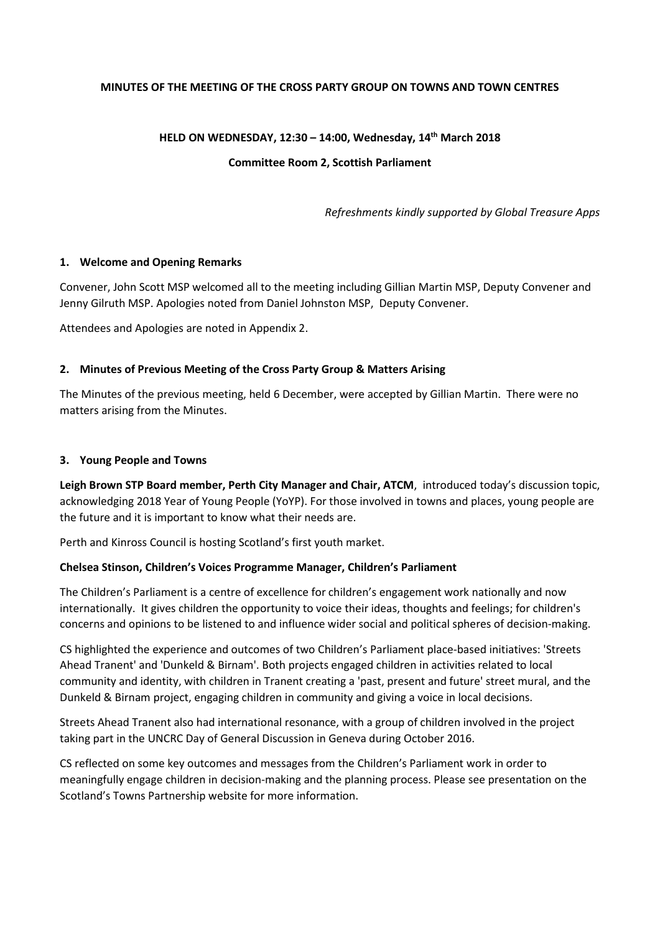## **MINUTES OF THE MEETING OF THE CROSS PARTY GROUP ON TOWNS AND TOWN CENTRES**

### **HELD ON WEDNESDAY, 12:30 – 14:00, Wednesday, 14th March 2018**

### **Committee Room 2, Scottish Parliament**

*Refreshments kindly supported by Global Treasure Apps*

### **1. Welcome and Opening Remarks**

Convener, John Scott MSP welcomed all to the meeting including Gillian Martin MSP, Deputy Convener and Jenny Gilruth MSP. Apologies noted from Daniel Johnston MSP, Deputy Convener.

Attendees and Apologies are noted in Appendix 2.

### **2. Minutes of Previous Meeting of the Cross Party Group & Matters Arising**

The Minutes of the previous meeting, held 6 December, were accepted by Gillian Martin. There were no matters arising from the Minutes.

### **3. Young People and Towns**

**Leigh Brown STP Board member, Perth City Manager and Chair, ATCM**, introduced today's discussion topic, acknowledging 2018 Year of Young People (YoYP). For those involved in towns and places, young people are the future and it is important to know what their needs are.

Perth and Kinross Council is hosting Scotland's first youth market.

## **Chelsea Stinson, Children's Voices Programme Manager, Children's Parliament**

The Children's Parliament is a centre of excellence for children's engagement work nationally and now internationally. It gives children the opportunity to voice their ideas, thoughts and feelings; for children's concerns and opinions to be listened to and influence wider social and political spheres of decision-making.

CS highlighted the experience and outcomes of two Children's Parliament place-based initiatives: 'Streets Ahead Tranent' and 'Dunkeld & Birnam'. Both projects engaged children in activities related to local community and identity, with children in Tranent creating a 'past, present and future' street mural, and the Dunkeld & Birnam project, engaging children in community and giving a voice in local decisions.

Streets Ahead Tranent also had international resonance, with a group of children involved in the project taking part in the UNCRC Day of General Discussion in Geneva during October 2016.

CS reflected on some key outcomes and messages from the Children's Parliament work in order to meaningfully engage children in decision-making and the planning process. Please see presentation on the Scotland's Towns Partnership website for more information.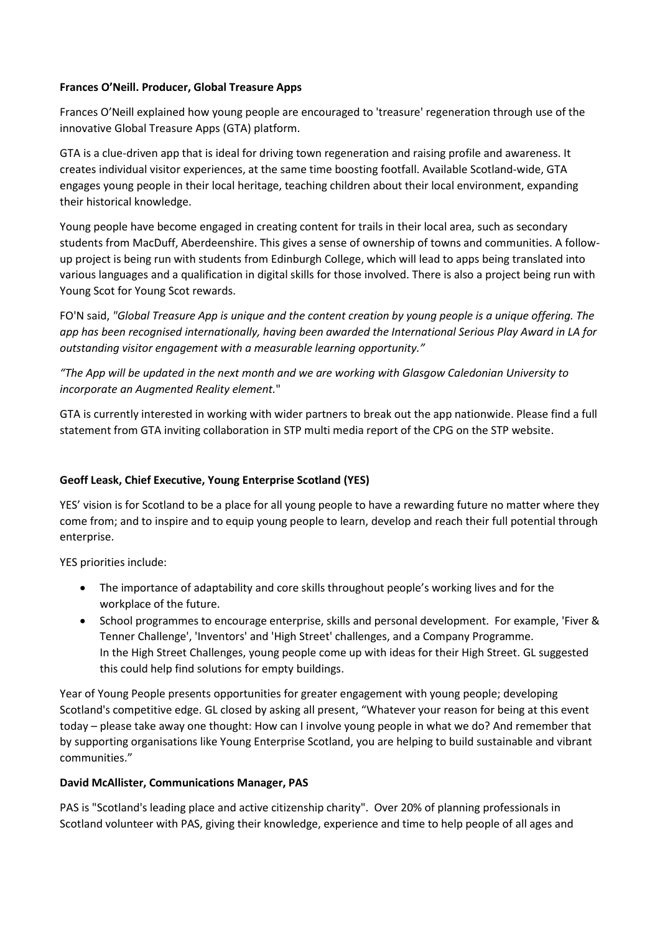## **Frances O'Neill. Producer, Global Treasure Apps**

Frances O'Neill explained how young people are encouraged to 'treasure' regeneration through use of the innovative Global Treasure Apps (GTA) platform.

GTA is a clue-driven app that is ideal for driving town regeneration and raising profile and awareness. It creates individual visitor experiences, at the same time boosting footfall. Available Scotland-wide, GTA engages young people in their local heritage, teaching children about their local environment, expanding their historical knowledge.

Young people have become engaged in creating content for trails in their local area, such as secondary students from MacDuff, Aberdeenshire. This gives a sense of ownership of towns and communities. A followup project is being run with students from Edinburgh College, which will lead to apps being translated into various languages and a qualification in digital skills for those involved. There is also a project being run with Young Scot for Young Scot rewards.

FO'N said, *"Global Treasure App is unique and the content creation by young people is a unique offering. The app has been recognised internationally, having been awarded the International Serious Play Award in LA for outstanding visitor engagement with a measurable learning opportunity."*

*"The App will be updated in the next month and we are working with Glasgow Caledonian University to incorporate an Augmented Reality element.*"

GTA is currently interested in working with wider partners to break out the app nationwide. Please find a full statement from GTA inviting collaboration in STP multi media report of the CPG on the STP website.

# **Geoff Leask, Chief Executive, Young Enterprise Scotland (YES)**

YES' vision is for Scotland to be a place for all young people to have a rewarding future no matter where they come from; and to inspire and to equip young people to learn, develop and reach their full potential through enterprise.

YES priorities include:

- The importance of adaptability and core skills throughout people's working lives and for the workplace of the future.
- School programmes to encourage enterprise, skills and personal development. For example, 'Fiver & Tenner Challenge', 'Inventors' and 'High Street' challenges, and a Company Programme. In the High Street Challenges, young people come up with ideas for their High Street. GL suggested this could help find solutions for empty buildings.

Year of Young People presents opportunities for greater engagement with young people; developing Scotland's competitive edge. GL closed by asking all present, "Whatever your reason for being at this event today – please take away one thought: How can I involve young people in what we do? And remember that by supporting organisations like Young Enterprise Scotland, you are helping to build sustainable and vibrant communities."

# **David McAllister, Communications Manager, PAS**

PAS is "Scotland's leading place and active citizenship charity". Over 20% of planning professionals in Scotland volunteer with PAS, giving their knowledge, experience and time to help people of all ages and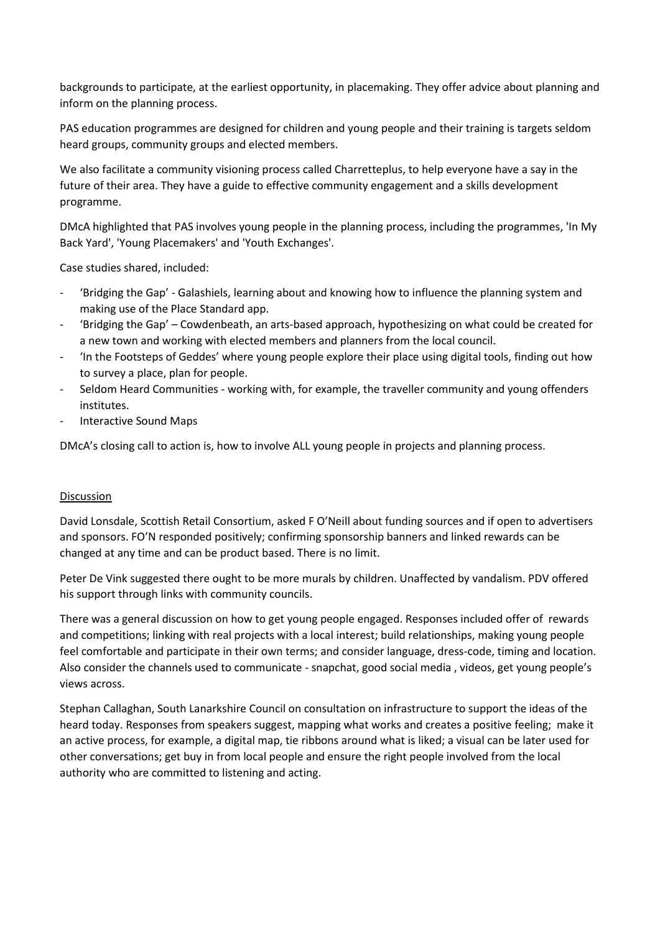backgrounds to participate, at the earliest opportunity, in placemaking. They offer advice about planning and inform on the planning process.

PAS education programmes are designed for children and young people and their training is targets seldom heard groups, community groups and elected members.

We also facilitate a community visioning process called Charretteplus, to help everyone have a say in the future of their area. They have a guide to effective community engagement and a skills development programme.

DMcA highlighted that PAS involves young people in the planning process, including the programmes, 'In My Back Yard', 'Young Placemakers' and 'Youth Exchanges'.

Case studies shared, included:

- 'Bridging the Gap' Galashiels, learning about and knowing how to influence the planning system and making use of the Place Standard app.
- 'Bridging the Gap' Cowdenbeath, an arts-based approach, hypothesizing on what could be created for a new town and working with elected members and planners from the local council.
- 'In the Footsteps of Geddes' where young people explore their place using digital tools, finding out how to survey a place, plan for people.
- Seldom Heard Communities working with, for example, the traveller community and young offenders institutes.
- Interactive Sound Maps

DMcA's closing call to action is, how to involve ALL young people in projects and planning process.

## Discussion

David Lonsdale, Scottish Retail Consortium, asked F O'Neill about funding sources and if open to advertisers and sponsors. FO'N responded positively; confirming sponsorship banners and linked rewards can be changed at any time and can be product based. There is no limit.

Peter De Vink suggested there ought to be more murals by children. Unaffected by vandalism. PDV offered his support through links with community councils.

There was a general discussion on how to get young people engaged. Responses included offer of rewards and competitions; linking with real projects with a local interest; build relationships, making young people feel comfortable and participate in their own terms; and consider language, dress-code, timing and location. Also consider the channels used to communicate - snapchat, good social media , videos, get young people's views across.

Stephan Callaghan, South Lanarkshire Council on consultation on infrastructure to support the ideas of the heard today. Responses from speakers suggest, mapping what works and creates a positive feeling; make it an active process, for example, a digital map, tie ribbons around what is liked; a visual can be later used for other conversations; get buy in from local people and ensure the right people involved from the local authority who are committed to listening and acting.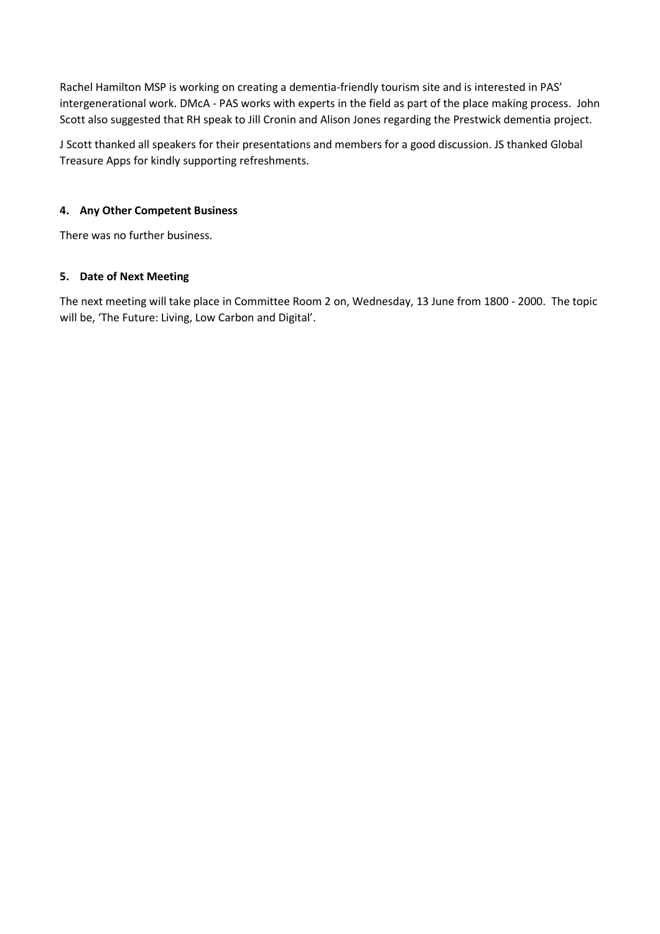Rachel Hamilton MSP is working on creating a dementia-friendly tourism site and is interested in PAS' intergenerational work. DMcA - PAS works with experts in the field as part of the place making process. John Scott also suggested that RH speak to Jill Cronin and Alison Jones regarding the Prestwick dementia project.

J Scott thanked all speakers for their presentations and members for a good discussion. JS thanked Global Treasure Apps for kindly supporting refreshments.

# **4. Any Other Competent Business**

There was no further business.

## **5. Date of Next Meeting**

The next meeting will take place in Committee Room 2 on, Wednesday, 13 June from 1800 - 2000. The topic will be, 'The Future: Living, Low Carbon and Digital'.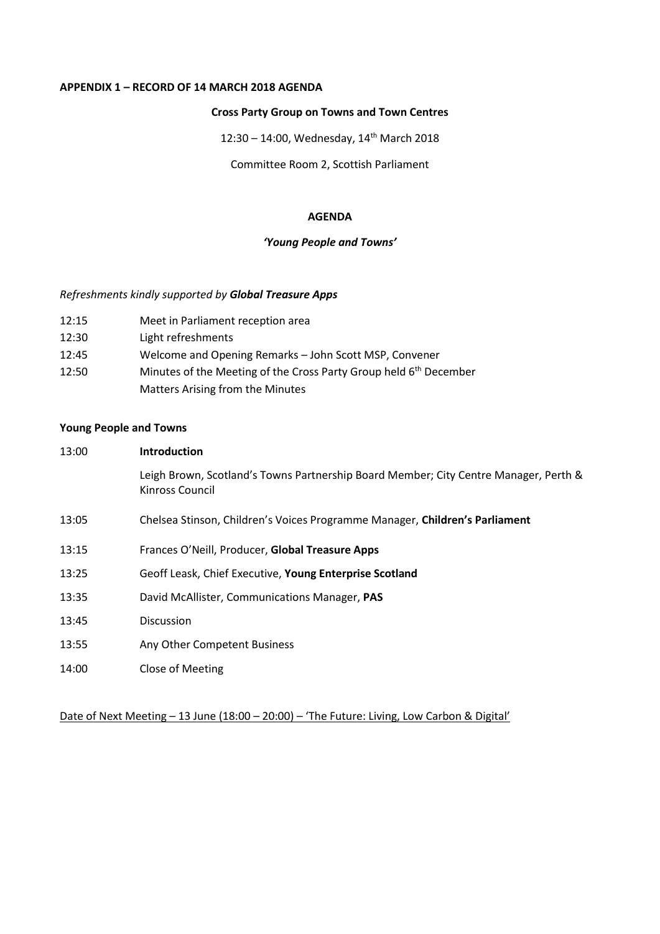## **APPENDIX 1 – RECORD OF 14 MARCH 2018 AGENDA**

### **Cross Party Group on Towns and Town Centres**

12:30 – 14:00, Wednesday, 14th March 2018

Committee Room 2, Scottish Parliament

#### **AGENDA**

## *'Young People and Towns'*

### *Refreshments kindly supported by Global Treasure Apps*

- 12:15 Meet in Parliament reception area
- 12:30 Light refreshments
- 12:45 Welcome and Opening Remarks John Scott MSP, Convener
- 12:50 Minutes of the Meeting of the Cross Party Group held 6<sup>th</sup> December Matters Arising from the Minutes

## **Young People and Towns**

| 13:00 | <b>Introduction</b>                                                                                     |  |  |
|-------|---------------------------------------------------------------------------------------------------------|--|--|
|       | Leigh Brown, Scotland's Towns Partnership Board Member; City Centre Manager, Perth &<br>Kinross Council |  |  |
| 13:05 | Chelsea Stinson, Children's Voices Programme Manager, Children's Parliament                             |  |  |
| 13:15 | Frances O'Neill, Producer, Global Treasure Apps                                                         |  |  |
| 13:25 | Geoff Leask, Chief Executive, Young Enterprise Scotland                                                 |  |  |
| 13:35 | David McAllister, Communications Manager, PAS                                                           |  |  |
| 13:45 | Discussion                                                                                              |  |  |
| 13:55 | Any Other Competent Business                                                                            |  |  |
| 14:00 | Close of Meeting                                                                                        |  |  |

Date of Next Meeting - 13 June (18:00 - 20:00) - 'The Future: Living, Low Carbon & Digital'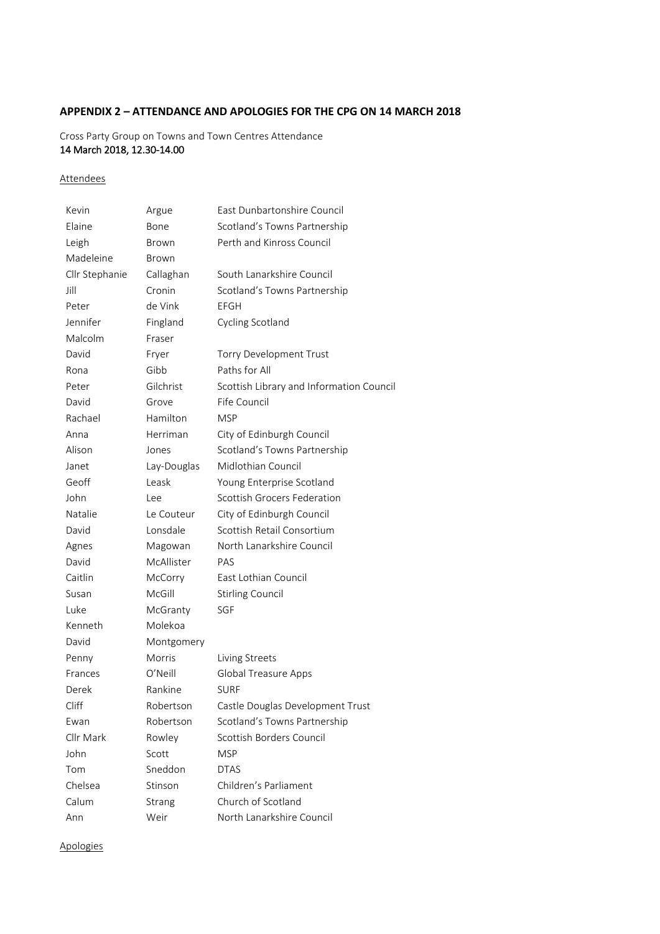## **APPENDIX 2 – ATTENDANCE AND APOLOGIES FOR THE CPG ON 14 MARCH 2018**

## Cross Party Group on Towns and Town Centres Attendance 14 March 2018, 12.30-14.00

### **Attendees**

| Kevin          | Argue         | East Dunbartonshire Council              |
|----------------|---------------|------------------------------------------|
| Elaine         | Bone          | Scotland's Towns Partnership             |
| Leigh          | Brown         | Perth and Kinross Council                |
| Madeleine      | Brown         |                                          |
| Cllr Stephanie | Callaghan     | South Lanarkshire Council                |
| Jill           | Cronin        | Scotland's Towns Partnership             |
| Peter          | de Vink       | EFGH                                     |
| Jennifer       | Fingland      | Cycling Scotland                         |
| Malcolm        | Fraser        |                                          |
| David          | Fryer         | Torry Development Trust                  |
| Rona           | Gibb          | Paths for All                            |
| Peter          | Gilchrist     | Scottish Library and Information Council |
| David          | Grove         | Fife Council                             |
| Rachael        | Hamilton      | <b>MSP</b>                               |
| Anna           | Herriman      | City of Edinburgh Council                |
| Alison         | Jones         | Scotland's Towns Partnership             |
| Janet          | Lay-Douglas   | Midlothian Council                       |
| Geoff          | Leask         | Young Enterprise Scotland                |
| John           | Lee           | Scottish Grocers Federation              |
| Natalie        | Le Couteur    | City of Edinburgh Council                |
| David          | Lonsdale      | Scottish Retail Consortium               |
| Agnes          | Magowan       | North Lanarkshire Council                |
| David          | McAllister    | PAS                                      |
| Caitlin        | McCorry       | East Lothian Council                     |
| Susan          | McGill        | <b>Stirling Council</b>                  |
| Luke           | McGranty      | SGF                                      |
| Kenneth        | Molekoa       |                                          |
| David          | Montgomery    |                                          |
| Penny          | <b>Morris</b> | Living Streets                           |
| Frances        | O'Neill       | <b>Global Treasure Apps</b>              |
| Derek          | Rankine       | <b>SURF</b>                              |
| Cliff          | Robertson     | Castle Douglas Development Trust         |
| Ewan           | Robertson     | Scotland's Towns Partnership             |
| Cllr Mark      | Rowley        | Scottish Borders Council                 |
| John           | Scott         | <b>MSP</b>                               |
| Tom            | Sneddon       | <b>DTAS</b>                              |
| Chelsea        | Stinson       | Children's Parliament                    |
| Calum          | Strang        | Church of Scotland                       |
| Ann            | Weir          | North Lanarkshire Council                |

**Apologies**